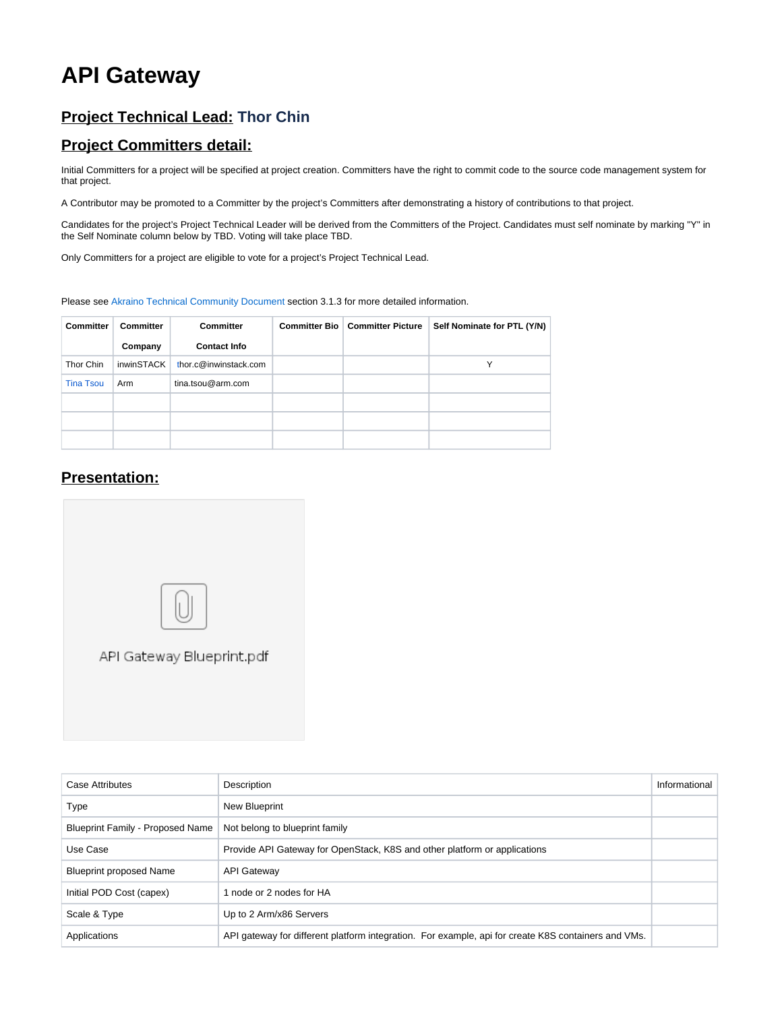## **API Gateway**

## **Project Technical Lead: Thor Chin**

## **Project Committers detail:**

Initial Committers for a project will be specified at project creation. Committers have the right to commit code to the source code management system for that project.

A Contributor may be promoted to a Committer by the project's Committers after demonstrating a history of contributions to that project.

Candidates for the project's Project Technical Leader will be derived from the Committers of the Project. Candidates must self nominate by marking "Y" in the Self Nominate column below by TBD. Voting will take place TBD.

Only Committers for a project are eligible to vote for a project's Project Technical Lead.

Please see [Akraino Technical Community Document](https://wiki.akraino.org/display/AK/Akraino+Technical+Community+Document) section 3.1.3 for more detailed information.

| <b>Committer</b> | <b>Committer</b>  | <b>Committer</b>      | <b>Committer Bio   Committer Picture</b> | Self Nominate for PTL (Y/N) |
|------------------|-------------------|-----------------------|------------------------------------------|-----------------------------|
|                  | Company           | <b>Contact Info</b>   |                                          |                             |
| Thor Chin        | <i>inwinSTACK</i> | thor.c@inwinstack.com |                                          | Y                           |
| <b>Tina Tsou</b> | Arm               | tina.tsou@arm.com     |                                          |                             |
|                  |                   |                       |                                          |                             |
|                  |                   |                       |                                          |                             |
|                  |                   |                       |                                          |                             |

## **Presentation:**



| <b>Case Attributes</b>           | Description                                                                                         | Informational |
|----------------------------------|-----------------------------------------------------------------------------------------------------|---------------|
| Type                             | <b>New Blueprint</b>                                                                                |               |
| Blueprint Family - Proposed Name | Not belong to blueprint family                                                                      |               |
| Use Case                         | Provide API Gateway for OpenStack, K8S and other platform or applications                           |               |
| <b>Blueprint proposed Name</b>   | <b>API Gateway</b>                                                                                  |               |
| Initial POD Cost (capex)         | 1 node or 2 nodes for HA                                                                            |               |
| Scale & Type                     | Up to 2 Arm/x86 Servers                                                                             |               |
| Applications                     | API gateway for different platform integration. For example, api for create K8S containers and VMs. |               |